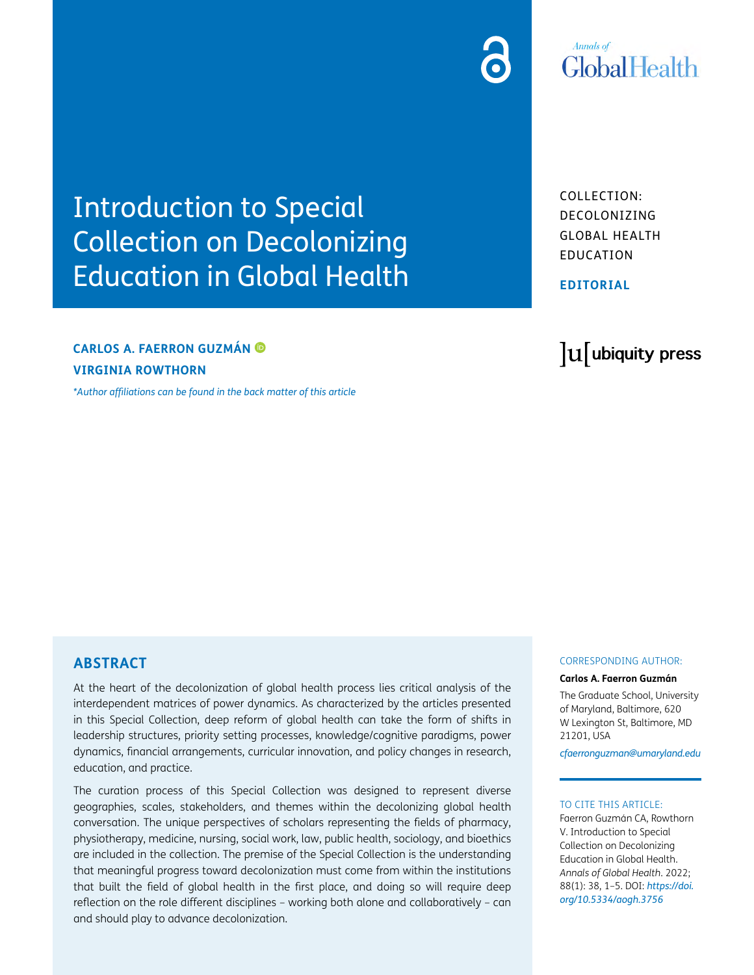## **Annals** of **GlobalHealth**

Introduction to Special Collection on Decolonizing Education in Global Health

### **CARLOS A. FAERRON GUZMÁN VIRGINIA ROWTHORN**

*[\\*Author affiliations can be found in the back matter of this article](#page-3-0)*

COLLECTION: DECOLONIZING GLOBAL HEALTH EDUCATION

**EDITORIAL**

# lu ubiquity press

#### **ABSTRACT**

At the heart of the decolonization of global health process lies critical analysis of the interdependent matrices of power dynamics. As characterized by the articles presented in this Special Collection, deep reform of global health can take the form of shifts in leadership structures, priority setting processes, knowledge/cognitive paradigms, power dynamics, financial arrangements, curricular innovation, and policy changes in research, education, and practice.

The curation process of this Special Collection was designed to represent diverse geographies, scales, stakeholders, and themes within the decolonizing global health conversation. The unique perspectives of scholars representing the fields of pharmacy, physiotherapy, medicine, nursing, social work, law, public health, sociology, and bioethics are included in the collection. The premise of the Special Collection is the understanding that meaningful progress toward decolonization must come from within the institutions that built the field of global health in the first place, and doing so will require deep reflection on the role different disciplines – working both alone and collaboratively – can and should play to advance decolonization.

#### CORRESPONDING AUTHOR:

#### **Carlos A. Faerron Guzmán**

The Graduate School, University of Maryland, Baltimore, 620 W Lexington St, Baltimore, MD 21201, USA

*[cfaerronguzman@umaryland.edu](mailto:cfaerronguzman@umaryland.edu)*

#### TO CITE THIS ARTICLE:

Faerron Guzmán CA, Rowthorn V. Introduction to Special Collection on Decolonizing Education in Global Health. *Annals of Global Health*. 2022; 88(1): 38, 1–5. DOI: *[https://doi.](https://doi.org/10.5334/aogh.3756) [org/10.5334/aogh.3756](https://doi.org/10.5334/aogh.3756)*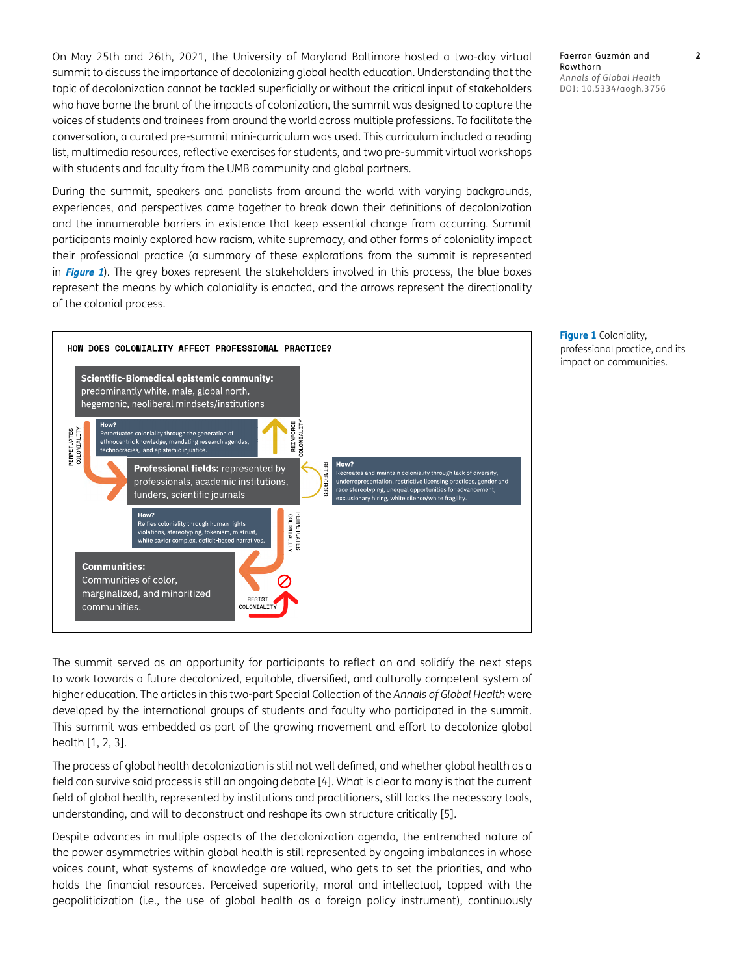On May 25th and 26th, 2021, the University of Maryland Baltimore hosted a two-day virtual summit to discuss the importance of decolonizing global health education. Understanding that the topic of decolonization cannot be tackled superficially or without the critical input of stakeholders who have borne the brunt of the impacts of colonization, the summit was designed to capture the voices of students and trainees from around the world across multiple professions. To facilitate the conversation, a curated pre-summit mini-curriculum was used. This curriculum included a reading list, multimedia resources, reflective exercises for students, and two pre-summit virtual workshops with students and faculty from the UMB community and global partners.

During the summit, speakers and panelists from around the world with varying backgrounds, experiences, and perspectives came together to break down their definitions of decolonization and the innumerable barriers in existence that keep essential change from occurring. Summit participants mainly explored how racism, white supremacy, and other forms of coloniality impact their professional practice (a summary of these explorations from the summit is represented in **[Figure 1](#page-1-0)**). The grey boxes represent the stakeholders involved in this process, the blue boxes represent the means by which coloniality is enacted, and the arrows represent the directionality of the colonial process.



Faerron Guzmán and **2** Rowthorn *Annals of Global Health* DOI: [10.5334/aogh.3756](https://doi.org/10.5334/aogh.3756)

<span id="page-1-0"></span>**Figure 1** Coloniality, professional practice, and its impact on communities.

The summit served as an opportunity for participants to reflect on and solidify the next steps to work towards a future decolonized, equitable, diversified, and culturally competent system of higher education. The articles in this two-part Special Collection of the *Annals of Global Health* were developed by the international groups of students and faculty who participated in the summit. This summit was embedded as part of the growing movement and effort to decolonize global health [[1, 2](#page-3-1), [3\]](#page-3-1).

The process of global health decolonization is still not well defined, and whether global health as a field can survive said process is still an ongoing debate [\[4](#page-3-1)]. What is clear to many is that the current field of global health, represented by institutions and practitioners, still lacks the necessary tools, understanding, and will to deconstruct and reshape its own structure critically [[5\]](#page-3-1).

Despite advances in multiple aspects of the decolonization agenda, the entrenched nature of the power asymmetries within global health is still represented by ongoing imbalances in whose voices count, what systems of knowledge are valued, who gets to set the priorities, and who holds the financial resources. Perceived superiority, moral and intellectual, topped with the geopoliticization (i.e., the use of global health as a foreign policy instrument), continuously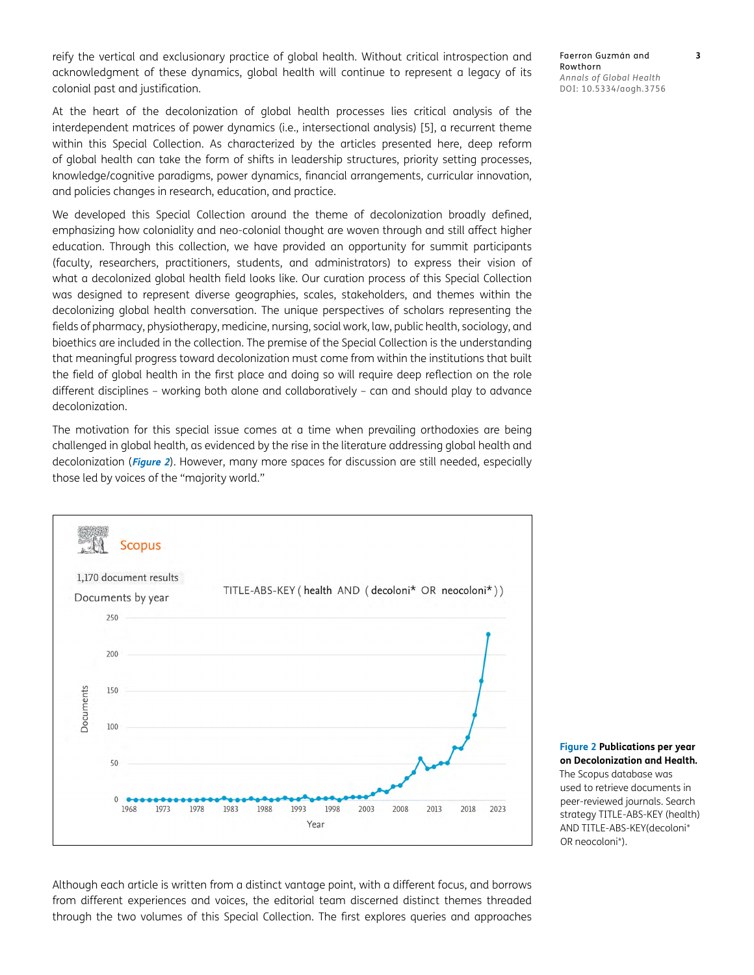reify the vertical and exclusionary practice of global health. Without critical introspection and acknowledgment of these dynamics, global health will continue to represent a legacy of its colonial past and justification.

At the heart of the decolonization of global health processes lies critical analysis of the interdependent matrices of power dynamics (i.e., intersectional analysis) [\[5\]](#page-3-1), a recurrent theme within this Special Collection. As characterized by the articles presented here, deep reform of global health can take the form of shifts in leadership structures, priority setting processes, knowledge/cognitive paradigms, power dynamics, financial arrangements, curricular innovation, and policies changes in research, education, and practice.

We developed this Special Collection around the theme of decolonization broadly defined, emphasizing how coloniality and neo-colonial thought are woven through and still affect higher education. Through this collection, we have provided an opportunity for summit participants (faculty, researchers, practitioners, students, and administrators) to express their vision of what a decolonized global health field looks like. Our curation process of this Special Collection was designed to represent diverse geographies, scales, stakeholders, and themes within the decolonizing global health conversation. The unique perspectives of scholars representing the fields of pharmacy, physiotherapy, medicine, nursing, social work, law, public health, sociology, and bioethics are included in the collection. The premise of the Special Collection is the understanding that meaningful progress toward decolonization must come from within the institutions that built the field of global health in the first place and doing so will require deep reflection on the role different disciplines – working both alone and collaboratively – can and should play to advance decolonization.

The motivation for this special issue comes at a time when prevailing orthodoxies are being challenged in global health, as evidenced by the rise in the literature addressing global health and decolonization (**[Figure 2](#page-2-0)**). However, many more spaces for discussion are still needed, especially those led by voices of the "majority world."



Faerron Guzmán and **3** Rowthorn *Annals of Global Health* DOI: 10.5334/aogh.3756

<span id="page-2-0"></span>**Figure 2 Publications per year on Decolonization and Health.**  The Scopus database was used to retrieve documents in peer-reviewed journals. Search strategy TITLE-ABS-KEY (health) AND TITLE-ABS-KEY(decoloni\* OR neocoloni\*).

Although each article is written from a distinct vantage point, with a different focus, and borrows from different experiences and voices, the editorial team discerned distinct themes threaded through the two volumes of this Special Collection. The first explores queries and approaches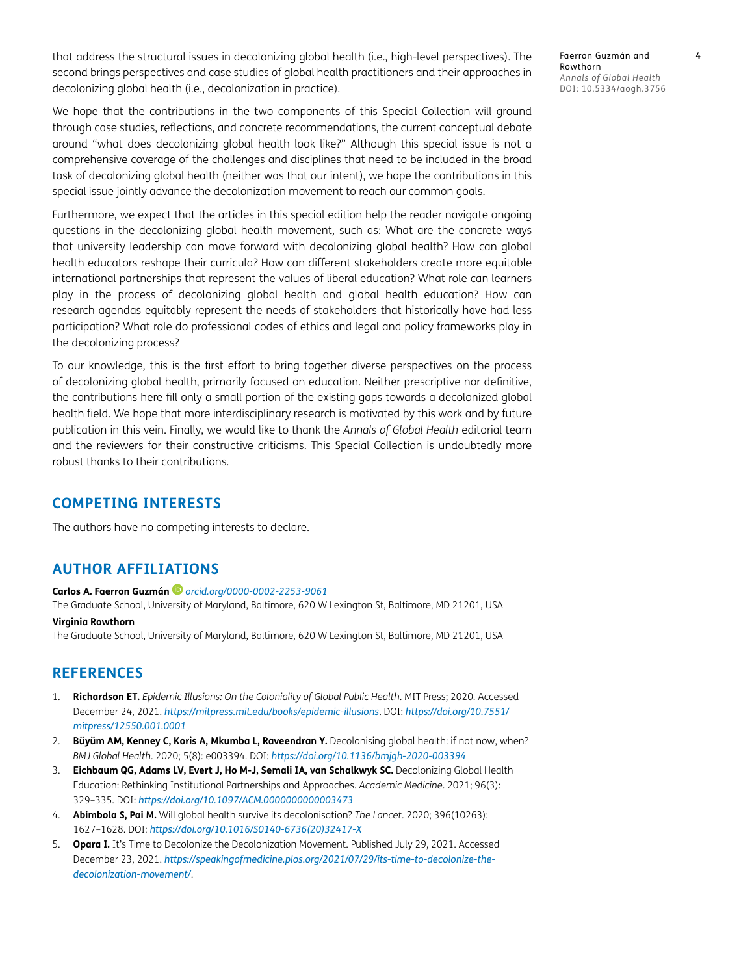<span id="page-3-1"></span>that address the structural issues in decolonizing global health (i.e., high-level perspectives). The second brings perspectives and case studies of global health practitioners and their approaches in decolonizing global health (i.e., decolonization in practice).

We hope that the contributions in the two components of this Special Collection will ground through case studies, reflections, and concrete recommendations, the current conceptual debate around "what does decolonizing global health look like?" Although this special issue is not a comprehensive coverage of the challenges and disciplines that need to be included in the broad task of decolonizing global health (neither was that our intent), we hope the contributions in this special issue jointly advance the decolonization movement to reach our common goals.

Furthermore, we expect that the articles in this special edition help the reader navigate ongoing questions in the decolonizing global health movement, such as: What are the concrete ways that university leadership can move forward with decolonizing global health? How can global health educators reshape their curricula? How can different stakeholders create more equitable international partnerships that represent the values of liberal education? What role can learners play in the process of decolonizing global health and global health education? How can research agendas equitably represent the needs of stakeholders that historically have had less participation? What role do professional codes of ethics and legal and policy frameworks play in the decolonizing process?

To our knowledge, this is the first effort to bring together diverse perspectives on the process of decolonizing global health, primarily focused on education. Neither prescriptive nor definitive, the contributions here fill only a small portion of the existing gaps towards a decolonized global health field. We hope that more interdisciplinary research is motivated by this work and by future publication in this vein. Finally, we would like to thank the *Annals of Global Health* editorial team and the reviewers for their constructive criticisms. This Special Collection is undoubtedly more robust thanks to their contributions.

#### **COMPETING INTERESTS**

The authors have no competing interests to declare.

#### <span id="page-3-0"></span>**AUTHOR AFFILIATIONS**

#### **Carlos A. Faerron Guzmán** *[orcid.org/0000-0002-2253-9061](https://orcid.org/0000-0002-2253-9061)*

The Graduate School, University of Maryland, Baltimore, 620 W Lexington St, Baltimore, MD 21201, USA

#### **Virginia Rowthorn**

The Graduate School, University of Maryland, Baltimore, 620 W Lexington St, Baltimore, MD 21201, USA

#### **REFERENCES**

- 1. **Richardson ET.** *Epidemic Illusions: On the Coloniality of Global Public Health*. MIT Press; 2020. Accessed December 24, 2021. *<https://mitpress.mit.edu/books/epidemic-illusions>*. DOI: *[https://doi.org/10.7551/](https://doi.org/10.7551/mitpress/12550.001.0001) [mitpress/12550.001.0001](https://doi.org/10.7551/mitpress/12550.001.0001)*
- 2. **Büyüm AM, Kenney C, Koris A, Mkumba L, Raveendran Y.** Decolonising global health: if not now, when? *BMJ Global Health*. 2020; 5(8): e003394. DOI: *<https://doi.org/10.1136/bmjgh-2020-003394>*
- 3. **Eichbaum QG, Adams LV, Evert J, Ho M-J, Semali IA, van Schalkwyk SC.** Decolonizing Global Health Education: Rethinking Institutional Partnerships and Approaches. *Academic Medicine*. 2021; 96(3): 329–335. DOI: *<https://doi.org/10.1097/ACM.0000000000003473>*
- 4. **Abimbola S, Pai M.** Will global health survive its decolonisation? *The Lancet*. 2020; 396(10263): 1627–1628. DOI: *[https://doi.org/10.1016/S0140-6736\(20\)32417-X](https://doi.org/10.1016/S0140-6736(20)32417-X)*
- 5. **Opara I.** It's Time to Decolonize the Decolonization Movement. Published July 29, 2021. Accessed December 23, 2021. *[https://speakingofmedicine.plos.org/2021/07/29/its-time-to-decolonize-the](https://speakingofmedicine.plos.org/2021/07/29/its-time-to-decolonize-the-decolonization-movement/)[decolonization-movement/](https://speakingofmedicine.plos.org/2021/07/29/its-time-to-decolonize-the-decolonization-movement/)*.

Faerron Guzmán and **4** Rowthorn *Annals of Global Health* DOI: 10.5334/aogh.3756